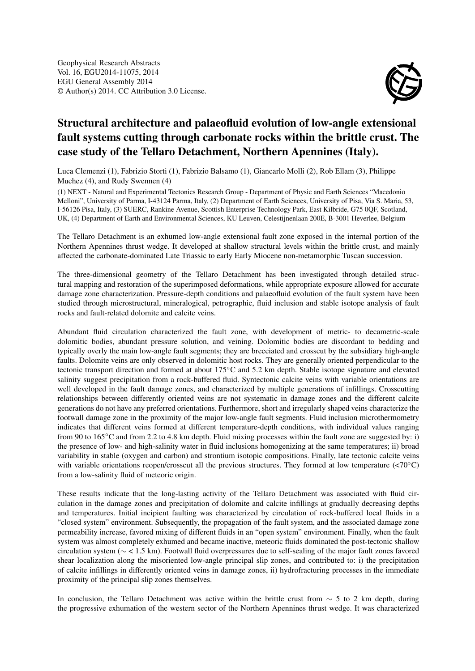

## Structural architecture and palaeofluid evolution of low-angle extensional fault systems cutting through carbonate rocks within the brittle crust. The case study of the Tellaro Detachment, Northern Apennines (Italy).

Luca Clemenzi (1), Fabrizio Storti (1), Fabrizio Balsamo (1), Giancarlo Molli (2), Rob Ellam (3), Philippe Muchez (4), and Rudy Swennen (4)

(1) NEXT - Natural and Experimental Tectonics Research Group - Department of Physic and Earth Sciences "Macedonio Melloni", University of Parma, I-43124 Parma, Italy, (2) Department of Earth Sciences, University of Pisa, Via S. Maria, 53, I-56126 Pisa, Italy, (3) SUERC, Rankine Avenue, Scottish Enterprise Technology Park, East Kilbride, G75 0QF, Scotland, UK, (4) Department of Earth and Environmental Sciences, KU Leuven, Celestijnenlaan 200E, B-3001 Heverlee, Belgium

The Tellaro Detachment is an exhumed low-angle extensional fault zone exposed in the internal portion of the Northern Apennines thrust wedge. It developed at shallow structural levels within the brittle crust, and mainly affected the carbonate-dominated Late Triassic to early Early Miocene non-metamorphic Tuscan succession.

The three-dimensional geometry of the Tellaro Detachment has been investigated through detailed structural mapping and restoration of the superimposed deformations, while appropriate exposure allowed for accurate damage zone characterization. Pressure-depth conditions and palaeofluid evolution of the fault system have been studied through microstructural, mineralogical, petrographic, fluid inclusion and stable isotope analysis of fault rocks and fault-related dolomite and calcite veins.

Abundant fluid circulation characterized the fault zone, with development of metric- to decametric-scale dolomitic bodies, abundant pressure solution, and veining. Dolomitic bodies are discordant to bedding and typically overly the main low-angle fault segments; they are brecciated and crosscut by the subsidiary high-angle faults. Dolomite veins are only observed in dolomitic host rocks. They are generally oriented perpendicular to the tectonic transport direction and formed at about 175◦C and 5.2 km depth. Stable isotope signature and elevated salinity suggest precipitation from a rock-buffered fluid. Syntectonic calcite veins with variable orientations are well developed in the fault damage zones, and characterized by multiple generations of infillings. Crosscutting relationships between differently oriented veins are not systematic in damage zones and the different calcite generations do not have any preferred orientations. Furthermore, short and irregularly shaped veins characterize the footwall damage zone in the proximity of the major low-angle fault segments. Fluid inclusion microthermometry indicates that different veins formed at different temperature-depth conditions, with individual values ranging from 90 to 165◦C and from 2.2 to 4.8 km depth. Fluid mixing processes within the fault zone are suggested by: i) the presence of low- and high-salinity water in fluid inclusions homogenizing at the same temperatures; ii) broad variability in stable (oxygen and carbon) and strontium isotopic compositions. Finally, late tectonic calcite veins with variable orientations reopen/crosscut all the previous structures. They formed at low temperature (<70°C) from a low-salinity fluid of meteoric origin.

These results indicate that the long-lasting activity of the Tellaro Detachment was associated with fluid circulation in the damage zones and precipitation of dolomite and calcite infillings at gradually decreasing depths and temperatures. Initial incipient faulting was characterized by circulation of rock-buffered local fluids in a "closed system" environment. Subsequently, the propagation of the fault system, and the associated damage zone permeability increase, favored mixing of different fluids in an "open system" environment. Finally, when the fault system was almost completely exhumed and became inactive, meteoric fluids dominated the post-tectonic shallow circulation system (∼ < 1.5 km). Footwall fluid overpressures due to self-sealing of the major fault zones favored shear localization along the misoriented low-angle principal slip zones, and contributed to: i) the precipitation of calcite infillings in differently oriented veins in damage zones, ii) hydrofracturing processes in the immediate proximity of the principal slip zones themselves.

In conclusion, the Tellaro Detachment was active within the brittle crust from  $\sim$  5 to 2 km depth, during the progressive exhumation of the western sector of the Northern Apennines thrust wedge. It was characterized